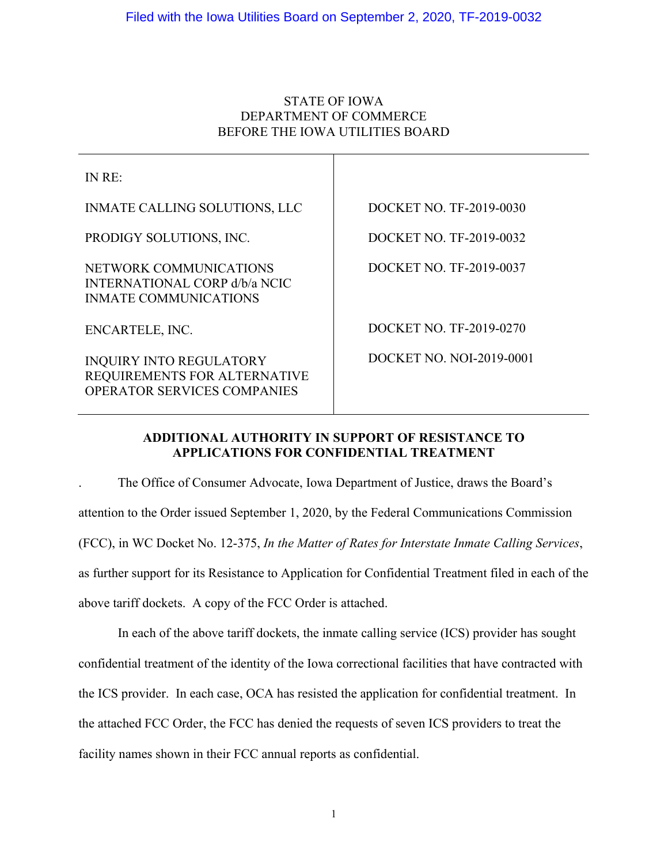# STATE OF IOWA DEPARTMENT OF COMMERCE BEFORE THE IOWA UTILITIES BOARD

Τ

| IN RE:                                                                                               |                          |
|------------------------------------------------------------------------------------------------------|--------------------------|
| <b>INMATE CALLING SOLUTIONS, LLC</b>                                                                 | DOCKET NO. TF-2019-0030  |
| PRODIGY SOLUTIONS, INC.                                                                              | DOCKET NO. TF-2019-0032  |
| NETWORK COMMUNICATIONS<br><b>INTERNATIONAL CORP d/b/a NCIC</b><br><b>INMATE COMMUNICATIONS</b>       | DOCKET NO. TF-2019-0037  |
| ENCARTELE, INC.                                                                                      | DOCKET NO. TF-2019-0270  |
| <b>INQUIRY INTO REGULATORY</b><br>REQUIREMENTS FOR ALTERNATIVE<br><b>OPERATOR SERVICES COMPANIES</b> | DOCKET NO. NOI-2019-0001 |

# **ADDITIONAL AUTHORITY IN SUPPORT OF RESISTANCE TO APPLICATIONS FOR CONFIDENTIAL TREATMENT**

. The Office of Consumer Advocate, Iowa Department of Justice, draws the Board's attention to the Order issued September 1, 2020, by the Federal Communications Commission (FCC), in WC Docket No. 12-375, *In the Matter of Rates for Interstate Inmate Calling Services*, as further support for its Resistance to Application for Confidential Treatment filed in each of the above tariff dockets. A copy of the FCC Order is attached.

In each of the above tariff dockets, the inmate calling service (ICS) provider has sought confidential treatment of the identity of the Iowa correctional facilities that have contracted with the ICS provider. In each case, OCA has resisted the application for confidential treatment. In the attached FCC Order, the FCC has denied the requests of seven ICS providers to treat the facility names shown in their FCC annual reports as confidential.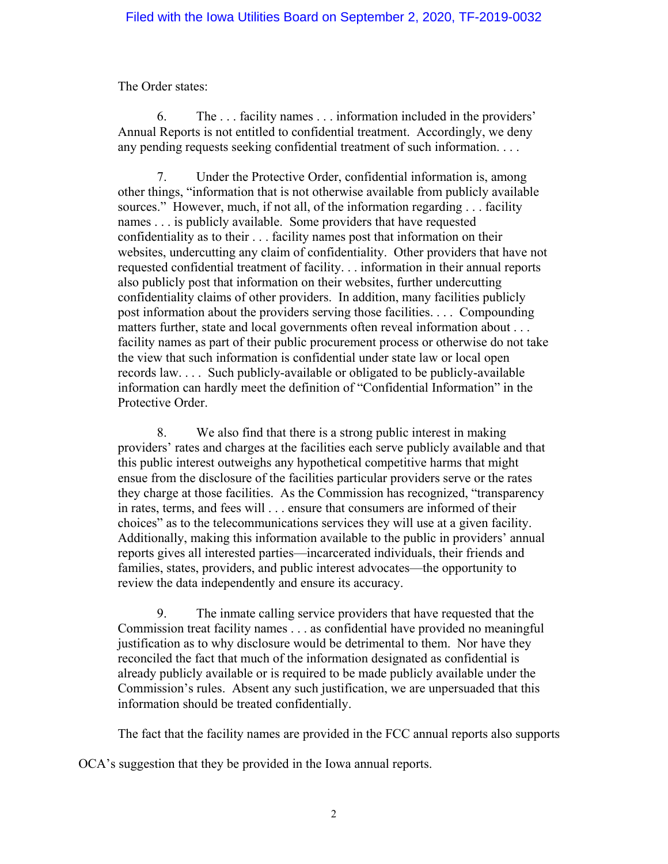The Order states:

6. The . . . facility names . . . information included in the providers' Annual Reports is not entitled to confidential treatment. Accordingly, we deny any pending requests seeking confidential treatment of such information. . . .

7. Under the Protective Order, confidential information is, among other things, "information that is not otherwise available from publicly available sources." However, much, if not all, of the information regarding . . . facility names . . . is publicly available. Some providers that have requested confidentiality as to their . . . facility names post that information on their websites, undercutting any claim of confidentiality. Other providers that have not requested confidential treatment of facility. . . information in their annual reports also publicly post that information on their websites, further undercutting confidentiality claims of other providers. In addition, many facilities publicly post information about the providers serving those facilities. . . . Compounding matters further, state and local governments often reveal information about . . . facility names as part of their public procurement process or otherwise do not take the view that such information is confidential under state law or local open records law. . . . Such publicly-available or obligated to be publicly-available information can hardly meet the definition of "Confidential Information" in the Protective Order.

8. We also find that there is a strong public interest in making providers' rates and charges at the facilities each serve publicly available and that this public interest outweighs any hypothetical competitive harms that might ensue from the disclosure of the facilities particular providers serve or the rates they charge at those facilities. As the Commission has recognized, "transparency in rates, terms, and fees will . . . ensure that consumers are informed of their choices" as to the telecommunications services they will use at a given facility. Additionally, making this information available to the public in providers' annual reports gives all interested parties—incarcerated individuals, their friends and families, states, providers, and public interest advocates—the opportunity to review the data independently and ensure its accuracy.

9. The inmate calling service providers that have requested that the Commission treat facility names . . . as confidential have provided no meaningful justification as to why disclosure would be detrimental to them. Nor have they reconciled the fact that much of the information designated as confidential is already publicly available or is required to be made publicly available under the Commission's rules. Absent any such justification, we are unpersuaded that this information should be treated confidentially.

The fact that the facility names are provided in the FCC annual reports also supports

OCA's suggestion that they be provided in the Iowa annual reports.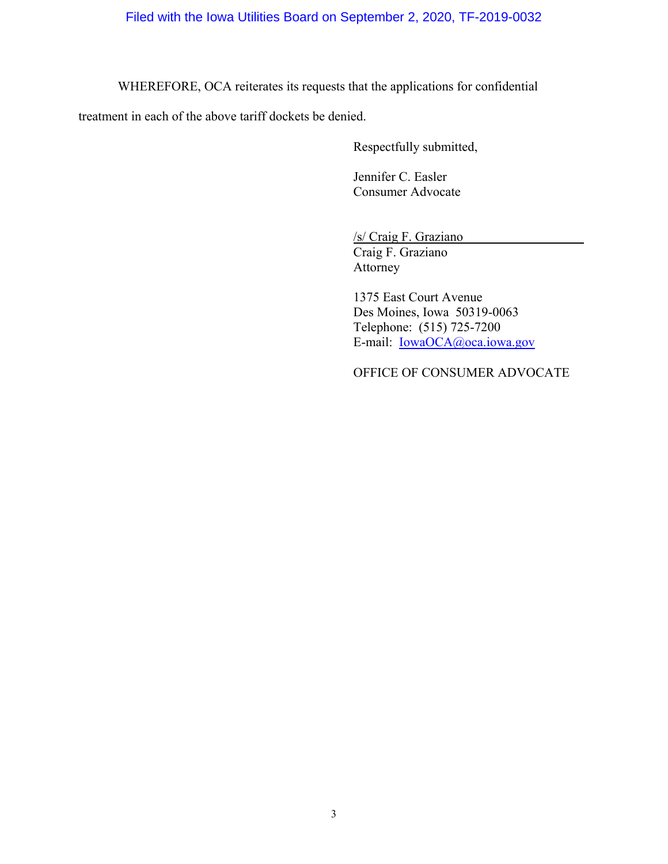WHEREFORE, OCA reiterates its requests that the applications for confidential

treatment in each of the above tariff dockets be denied.

Respectfully submitted,

Jennifer C. Easler Consumer Advocate

/s/ Craig F. Graziano

Craig F. Graziano Attorney

1375 East Court Avenue Des Moines, Iowa 50319-0063 Telephone: (515) 725-7200 E-mail: [IowaOCA@oca.iowa.gov](mailto:IowaOCA@oca.iowa.gov)

OFFICE OF CONSUMER ADVOCATE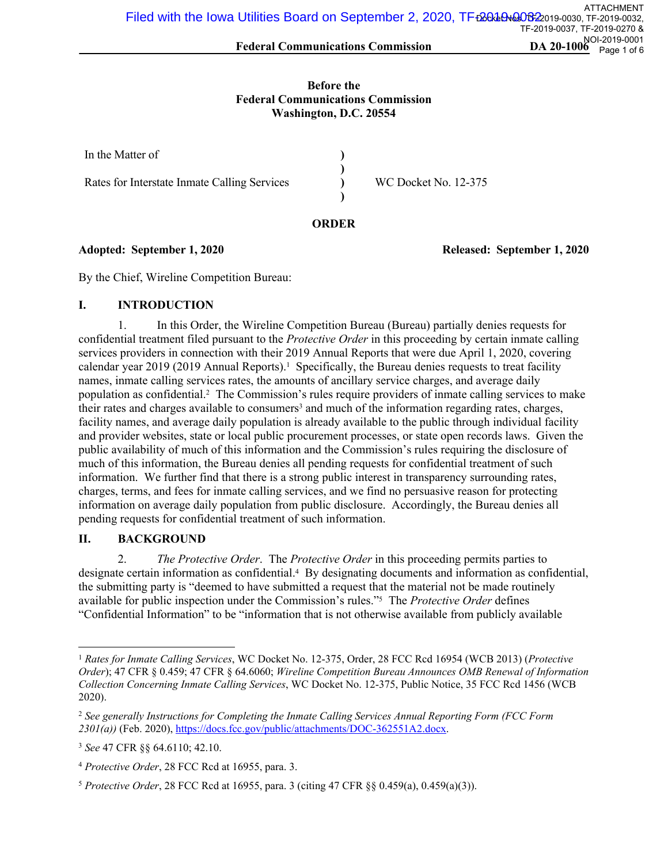#### **Before the Federal Communications Commission Washington, D.C. 20554**

| In the Matter of                             |                      |
|----------------------------------------------|----------------------|
| Rates for Interstate Inmate Calling Services | WC Docket No. 12-375 |

#### **ORDER**

## **Adopted: September 1, 2020 Released: September 1, 2020**

By the Chief, Wireline Competition Bureau:

## **I. INTRODUCTION**

1. In this Order, the Wireline Competition Bureau (Bureau) partially denies requests for confidential treatment filed pursuant to the *Protective Order* in this proceeding by certain inmate calling services providers in connection with their 2019 Annual Reports that were due April 1, 2020, covering calendar year 2019 (2019 Annual Reports).<sup>1</sup> Specifically, the Bureau denies requests to treat facility names, inmate calling services rates, the amounts of ancillary service charges, and average daily population as confidential.<sup>2</sup> The Commission's rules require providers of inmate calling services to make their rates and charges available to consumers<sup>3</sup> and much of the information regarding rates, charges, facility names, and average daily population is already available to the public through individual facility and provider websites, state or local public procurement processes, or state open records laws. Given the public availability of much of this information and the Commission's rules requiring the disclosure of much of this information, the Bureau denies all pending requests for confidential treatment of such information. We further find that there is a strong public interest in transparency surrounding rates, charges, terms, and fees for inmate calling services, and we find no persuasive reason for protecting information on average daily population from public disclosure. Accordingly, the Bureau denies all pending requests for confidential treatment of such information.

# **II. BACKGROUND**

2. *The Protective Order*. The *Protective Order* in this proceeding permits parties to designate certain information as confidential.<sup>4</sup> By designating documents and information as confidential, the submitting party is "deemed to have submitted a request that the material not be made routinely available for public inspection under the Commission's rules."<sup>5</sup> The *Protective Order* defines "Confidential Information" to be "information that is not otherwise available from publicly available

<sup>1</sup> *Rates for Inmate Calling Services*, WC Docket No. 12-375, Order, 28 FCC Rcd 16954 (WCB 2013) (*Protective Order*); 47 CFR § 0.459; 47 CFR § 64.6060; *Wireline Competition Bureau Announces OMB Renewal of Information Collection Concerning Inmate Calling Services*, WC Docket No. 12-375, Public Notice, 35 FCC Rcd 1456 (WCB 2020).

<sup>2</sup> *See generally Instructions for Completing the Inmate Calling Services Annual Reporting Form (FCC Form 2301(a))* (Feb. 2020),<https://docs.fcc.gov/public/attachments/DOC-362551A2.docx>.

<sup>3</sup> *See* 47 CFR §§ 64.6110; 42.10.

<sup>4</sup> *Protective Order*, 28 FCC Rcd at 16955, para. 3.

<sup>5</sup> *Protective Order*, 28 FCC Rcd at 16955, para. 3 (citing 47 CFR §§ 0.459(a), 0.459(a)(3)).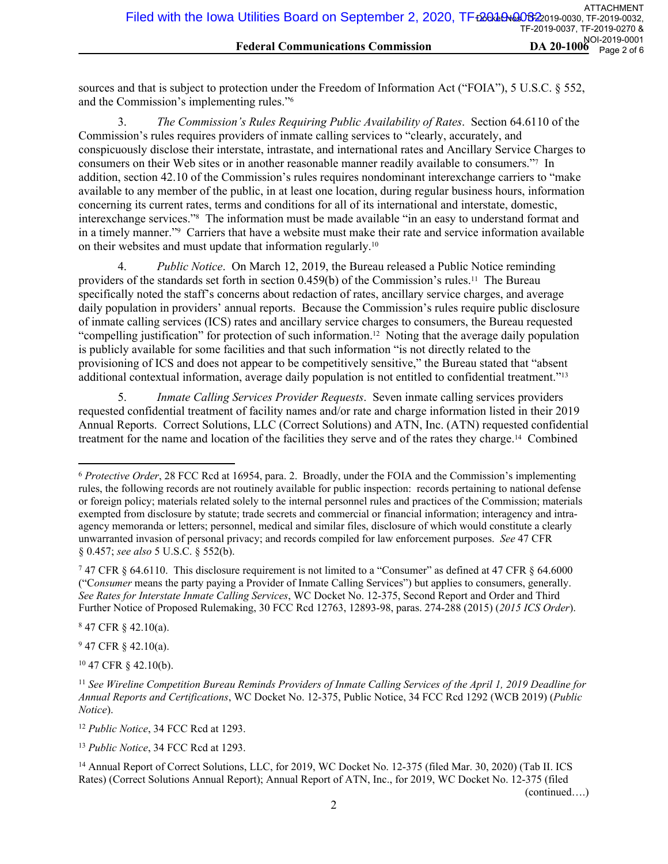sources and that is subject to protection under the Freedom of Information Act ("FOIA"), 5 U.S.C. § 552, and the Commission's implementing rules."<sup>6</sup>

3. *The Commission's Rules Requiring Public Availability of Rates*. Section 64.6110 of the Commission's rules requires providers of inmate calling services to "clearly, accurately, and conspicuously disclose their interstate, intrastate, and international rates and Ancillary Service Charges to consumers on their Web sites or in another reasonable manner readily available to consumers."<sup>7</sup> In addition, section 42.10 of the Commission's rules requires nondominant interexchange carriers to "make available to any member of the public, in at least one location, during regular business hours, information concerning its current rates, terms and conditions for all of its international and interstate, domestic, interexchange services."<sup>8</sup> The information must be made available "in an easy to understand format and in a timely manner."<sup>9</sup> Carriers that have a website must make their rate and service information available on their websites and must update that information regularly.<sup>10</sup>

4. *Public Notice*. On March 12, 2019, the Bureau released a Public Notice reminding providers of the standards set forth in section 0.459(b) of the Commission's rules.11 The Bureau specifically noted the staff's concerns about redaction of rates, ancillary service charges, and average daily population in providers' annual reports. Because the Commission's rules require public disclosure of inmate calling services (ICS) rates and ancillary service charges to consumers, the Bureau requested "compelling justification" for protection of such information.12 Noting that the average daily population is publicly available for some facilities and that such information "is not directly related to the provisioning of ICS and does not appear to be competitively sensitive," the Bureau stated that "absent additional contextual information, average daily population is not entitled to confidential treatment."<sup>13</sup>

5. *Inmate Calling Services Provider Requests*. Seven inmate calling services providers requested confidential treatment of facility names and/or rate and charge information listed in their 2019 Annual Reports. Correct Solutions, LLC (Correct Solutions) and ATN, Inc. (ATN) requested confidential treatment for the name and location of the facilities they serve and of the rates they charge.14 Combined

8 47 CFR § 42.10(a).

 $947$  CFR  $\S$  42.10(a).

<sup>10</sup> 47 CFR § 42.10(b).

<sup>12</sup> *Public Notice*, 34 FCC Rcd at 1293.

<sup>13</sup> *Public Notice*, 34 FCC Rcd at 1293.

(continued….)

<sup>6</sup> *Protective Order*, 28 FCC Rcd at 16954, para. 2. Broadly, under the FOIA and the Commission's implementing rules, the following records are not routinely available for public inspection: records pertaining to national defense or foreign policy; materials related solely to the internal personnel rules and practices of the Commission; materials exempted from disclosure by statute; trade secrets and commercial or financial information; interagency and intraagency memoranda or letters; personnel, medical and similar files, disclosure of which would constitute a clearly unwarranted invasion of personal privacy; and records compiled for law enforcement purposes. *See* 47 CFR § 0.457; *see also* 5 U.S.C. § 552(b).

<sup>7</sup> 47 CFR § 64.6110. This disclosure requirement is not limited to a "Consumer" as defined at 47 CFR § 64.6000 ("C*onsumer* means the party paying a Provider of Inmate Calling Services") but applies to consumers, generally. *See Rates for Interstate Inmate Calling Services*, WC Docket No. 12-375, Second Report and Order and Third Further Notice of Proposed Rulemaking, 30 FCC Rcd 12763, 12893-98, paras. 274-288 (2015) (*2015 ICS Order*).

<sup>11</sup> *See Wireline Competition Bureau Reminds Providers of Inmate Calling Services of the April 1, 2019 Deadline for Annual Reports and Certifications*, WC Docket No. 12-375, Public Notice, 34 FCC Rcd 1292 (WCB 2019) (*Public Notice*).

<sup>&</sup>lt;sup>14</sup> Annual Report of Correct Solutions, LLC, for 2019, WC Docket No. 12-375 (filed Mar. 30, 2020) (Tab II. ICS Rates) (Correct Solutions Annual Report); Annual Report of ATN, Inc., for 2019, WC Docket No. 12-375 (filed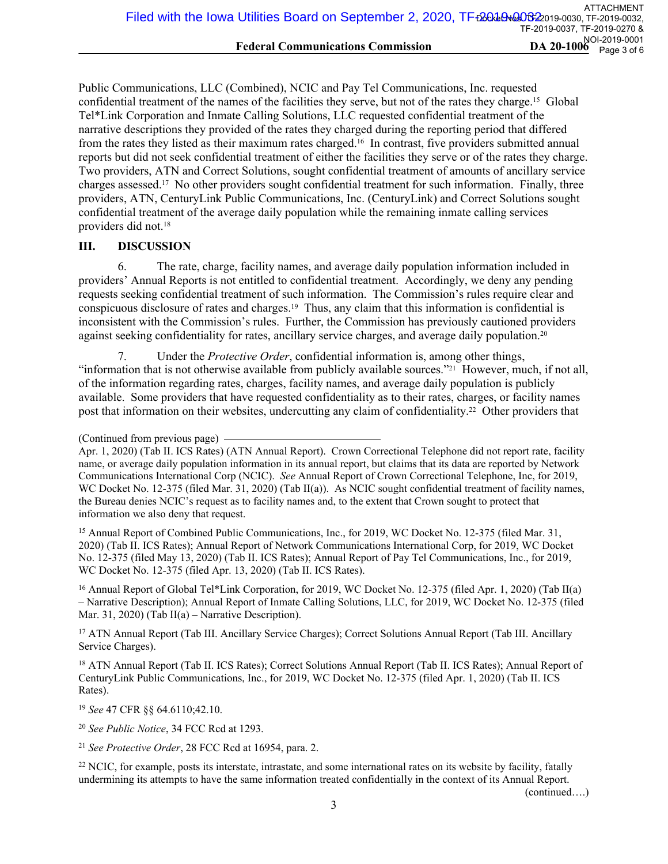Public Communications, LLC (Combined), NCIC and Pay Tel Communications, Inc. requested confidential treatment of the names of the facilities they serve, but not of the rates they charge.15 Global Tel\*Link Corporation and Inmate Calling Solutions, LLC requested confidential treatment of the narrative descriptions they provided of the rates they charged during the reporting period that differed from the rates they listed as their maximum rates charged.16 In contrast, five providers submitted annual reports but did not seek confidential treatment of either the facilities they serve or of the rates they charge. Two providers, ATN and Correct Solutions, sought confidential treatment of amounts of ancillary service charges assessed.17 No other providers sought confidential treatment for such information. Finally, three providers, ATN, CenturyLink Public Communications, Inc. (CenturyLink) and Correct Solutions sought confidential treatment of the average daily population while the remaining inmate calling services providers did not.<sup>18</sup>

## **III. DISCUSSION**

6. The rate, charge, facility names, and average daily population information included in providers' Annual Reports is not entitled to confidential treatment. Accordingly, we deny any pending requests seeking confidential treatment of such information. The Commission's rules require clear and conspicuous disclosure of rates and charges.19 Thus, any claim that this information is confidential is inconsistent with the Commission's rules. Further, the Commission has previously cautioned providers against seeking confidentiality for rates, ancillary service charges, and average daily population.<sup>20</sup>

7. Under the *Protective Order*, confidential information is, among other things, "information that is not otherwise available from publicly available sources."21 However, much, if not all, of the information regarding rates, charges, facility names, and average daily population is publicly available. Some providers that have requested confidentiality as to their rates, charges, or facility names post that information on their websites, undercutting any claim of confidentiality.22 Other providers that

<sup>15</sup> Annual Report of Combined Public Communications, Inc., for 2019, WC Docket No. 12-375 (filed Mar. 31, 2020) (Tab II. ICS Rates); Annual Report of Network Communications International Corp, for 2019, WC Docket No. 12-375 (filed May 13, 2020) (Tab II. ICS Rates); Annual Report of Pay Tel Communications, Inc., for 2019, WC Docket No. 12-375 (filed Apr. 13, 2020) (Tab II. ICS Rates).

<sup>16</sup> Annual Report of Global Tel\*Link Corporation, for 2019, WC Docket No. 12-375 (filed Apr. 1, 2020) (Tab II(a) – Narrative Description); Annual Report of Inmate Calling Solutions, LLC, for 2019, WC Docket No. 12-375 (filed Mar. 31, 2020) (Tab II(a) – Narrative Description).

<sup>17</sup> ATN Annual Report (Tab III. Ancillary Service Charges); Correct Solutions Annual Report (Tab III. Ancillary Service Charges).

<sup>18</sup> ATN Annual Report (Tab II. ICS Rates); Correct Solutions Annual Report (Tab II. ICS Rates); Annual Report of CenturyLink Public Communications, Inc., for 2019, WC Docket No. 12-375 (filed Apr. 1, 2020) (Tab II. ICS Rates).

<sup>19</sup> *See* 47 CFR §§ 64.6110;42.10.

<sup>20</sup> *See Public Notice*, 34 FCC Rcd at 1293.

<sup>21</sup> *See Protective Order*, 28 FCC Rcd at 16954, para. 2.

<sup>22</sup> NCIC, for example, posts its interstate, intrastate, and some international rates on its website by facility, fatally undermining its attempts to have the same information treated confidentially in the context of its Annual Report.

(continued….)

<sup>(</sup>Continued from previous page)

Apr. 1, 2020) (Tab II. ICS Rates) (ATN Annual Report). Crown Correctional Telephone did not report rate, facility name, or average daily population information in its annual report, but claims that its data are reported by Network Communications International Corp (NCIC). *See* Annual Report of Crown Correctional Telephone, Inc, for 2019, WC Docket No. 12-375 (filed Mar. 31, 2020) (Tab II(a)). As NCIC sought confidential treatment of facility names, the Bureau denies NCIC's request as to facility names and, to the extent that Crown sought to protect that information we also deny that request.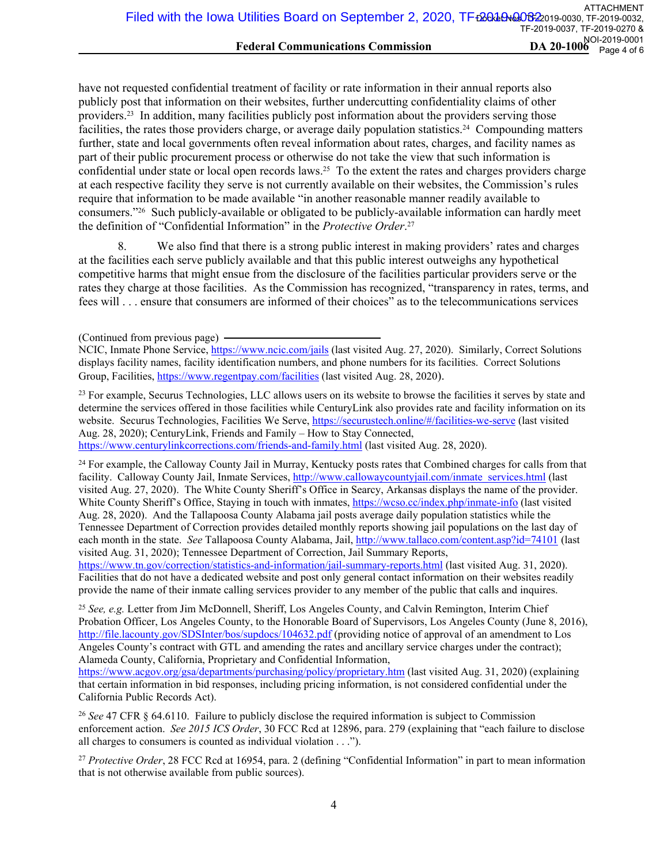have not requested confidential treatment of facility or rate information in their annual reports also publicly post that information on their websites, further undercutting confidentiality claims of other providers.23 In addition, many facilities publicly post information about the providers serving those facilities, the rates those providers charge, or average daily population statistics.24 Compounding matters further, state and local governments often reveal information about rates, charges, and facility names as part of their public procurement process or otherwise do not take the view that such information is confidential under state or local open records laws.25 To the extent the rates and charges providers charge at each respective facility they serve is not currently available on their websites, the Commission's rules require that information to be made available "in another reasonable manner readily available to consumers."26 Such publicly-available or obligated to be publicly-available information can hardly meet the definition of "Confidential Information" in the *Protective Order*. 27

8. We also find that there is a strong public interest in making providers' rates and charges at the facilities each serve publicly available and that this public interest outweighs any hypothetical competitive harms that might ensue from the disclosure of the facilities particular providers serve or the rates they charge at those facilities. As the Commission has recognized, "transparency in rates, terms, and fees will . . . ensure that consumers are informed of their choices" as to the telecommunications services

<sup>23</sup> For example, Securus Technologies, LLC allows users on its website to browse the facilities it serves by state and determine the services offered in those facilities while CenturyLink also provides rate and facility information on its website. Securus Technologies, Facilities We Serve,<https://securustech.online/#/facilities-we-serve>(last visited Aug. 28, 2020); CenturyLink, Friends and Family – How to Stay Connected,

<https://www.centurylinkcorrections.com/friends-and-family.html> (last visited Aug. 28, 2020).

<sup>24</sup> For example, the Calloway County Jail in Murray, Kentucky posts rates that Combined charges for calls from that facility. Calloway County Jail, Inmate Services, [http://www.callowaycountyjail.com/inmate\\_services.html](http://www.callowaycountyjail.com/inmate_services.html) (last visited Aug. 27, 2020). The White County Sheriff's Office in Searcy, Arkansas displays the name of the provider. White County Sheriff's Office, Staying in touch with inmates,<https://wcso.cc/index.php/inmate-info>(last visited Aug. 28, 2020). And the Tallapoosa County Alabama jail posts average daily population statistics while the Tennessee Department of Correction provides detailed monthly reports showing jail populations on the last day of each month in the state. *See* Tallapoosa County Alabama, Jail,<http://www.tallaco.com/content.asp?id=74101> (last visited Aug. 31, 2020); Tennessee Department of Correction, Jail Summary Reports,

<https://www.tn.gov/correction/statistics-and-information/jail-summary-reports.html> (last visited Aug. 31, 2020). Facilities that do not have a dedicated website and post only general contact information on their websites readily provide the name of their inmate calling services provider to any member of the public that calls and inquires.

<sup>25</sup> *See, e.g.* Letter from Jim McDonnell, Sheriff, Los Angeles County, and Calvin Remington, Interim Chief Probation Officer, Los Angeles County, to the Honorable Board of Supervisors, Los Angeles County (June 8, 2016), <http://file.lacounty.gov/SDSInter/bos/supdocs/104632.pdf>(providing notice of approval of an amendment to Los Angeles County's contract with GTL and amending the rates and ancillary service charges under the contract); Alameda County, California, Proprietary and Confidential Information,

<https://www.acgov.org/gsa/departments/purchasing/policy/proprietary.htm> (last visited Aug. 31, 2020) (explaining that certain information in bid responses, including pricing information, is not considered confidential under the California Public Records Act).

<sup>26</sup> *See* 47 CFR § 64.6110. Failure to publicly disclose the required information is subject to Commission enforcement action. *See 2015 ICS Order*, 30 FCC Rcd at 12896, para. 279 (explaining that "each failure to disclose all charges to consumers is counted as individual violation . . .").

<sup>27</sup> *Protective Order*, 28 FCC Rcd at 16954, para. 2 (defining "Confidential Information" in part to mean information that is not otherwise available from public sources).

<sup>(</sup>Continued from previous page)

NCIC, Inmate Phone Service, <https://www.ncic.com/jails> (last visited Aug. 27, 2020). Similarly, Correct Solutions displays facility names, facility identification numbers, and phone numbers for its facilities. Correct Solutions Group, Facilities,<https://www.regentpay.com/facilities>(last visited Aug. 28, 2020).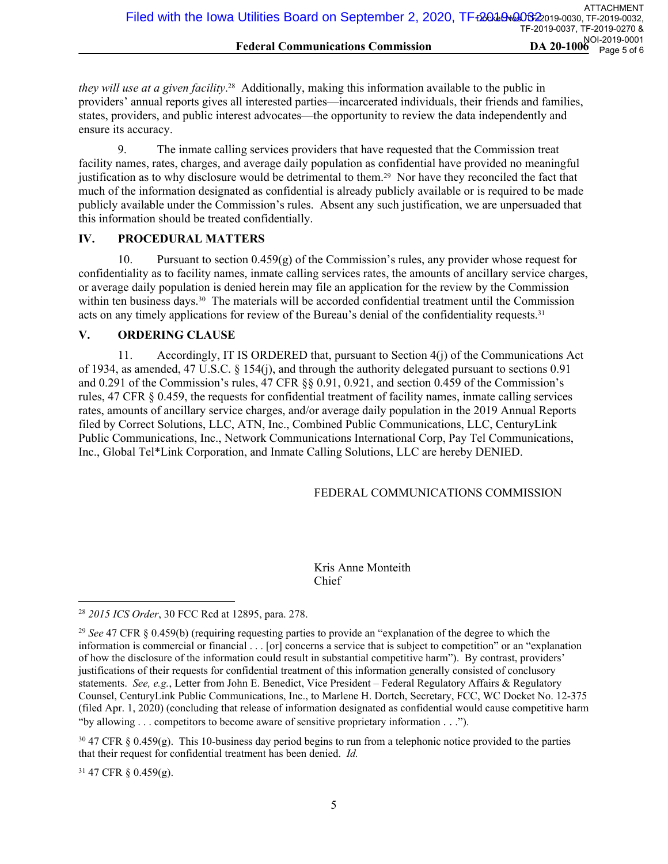*they will use at a given facility*. <sup>28</sup> Additionally, making this information available to the public in providers' annual reports gives all interested parties—incarcerated individuals, their friends and families, states, providers, and public interest advocates—the opportunity to review the data independently and ensure its accuracy.

9. The inmate calling services providers that have requested that the Commission treat facility names, rates, charges, and average daily population as confidential have provided no meaningful justification as to why disclosure would be detrimental to them.<sup>29</sup> Nor have they reconciled the fact that much of the information designated as confidential is already publicly available or is required to be made publicly available under the Commission's rules. Absent any such justification, we are unpersuaded that this information should be treated confidentially.

#### **IV. PROCEDURAL MATTERS**

10. Pursuant to section 0.459(g) of the Commission's rules, any provider whose request for confidentiality as to facility names, inmate calling services rates, the amounts of ancillary service charges, or average daily population is denied herein may file an application for the review by the Commission within ten business days.<sup>30</sup> The materials will be accorded confidential treatment until the Commission acts on any timely applications for review of the Bureau's denial of the confidentiality requests.<sup>31</sup>

## **V. ORDERING CLAUSE**

11. Accordingly, IT IS ORDERED that, pursuant to Section 4(j) of the Communications Act of 1934, as amended, 47 U.S.C. § 154(j), and through the authority delegated pursuant to sections 0.91 and 0.291 of the Commission's rules, 47 CFR §§ 0.91, 0.921, and section 0.459 of the Commission's rules, 47 CFR § 0.459, the requests for confidential treatment of facility names, inmate calling services rates, amounts of ancillary service charges, and/or average daily population in the 2019 Annual Reports filed by Correct Solutions, LLC, ATN, Inc., Combined Public Communications, LLC, CenturyLink Public Communications, Inc., Network Communications International Corp, Pay Tel Communications, Inc., Global Tel\*Link Corporation, and Inmate Calling Solutions, LLC are hereby DENIED.

# FEDERAL COMMUNICATIONS COMMISSION

# Kris Anne Monteith Chief

<sup>31</sup> 47 CFR § 0.459(g).

<sup>28</sup> *2015 ICS Order*, 30 FCC Rcd at 12895, para. 278.

<sup>29</sup> *See* 47 CFR § 0.459(b) (requiring requesting parties to provide an "explanation of the degree to which the information is commercial or financial . . . [or] concerns a service that is subject to competition" or an "explanation of how the disclosure of the information could result in substantial competitive harm"). By contrast, providers' justifications of their requests for confidential treatment of this information generally consisted of conclusory statements. *See, e.g.*, Letter from John E. Benedict, Vice President – Federal Regulatory Affairs & Regulatory Counsel, CenturyLink Public Communications, Inc., to Marlene H. Dortch, Secretary, FCC, WC Docket No. 12-375 (filed Apr. 1, 2020) (concluding that release of information designated as confidential would cause competitive harm "by allowing . . . competitors to become aware of sensitive proprietary information . . .").

 $30\,47$  CFR § 0.459(g). This 10-business day period begins to run from a telephonic notice provided to the parties that their request for confidential treatment has been denied. *Id.*